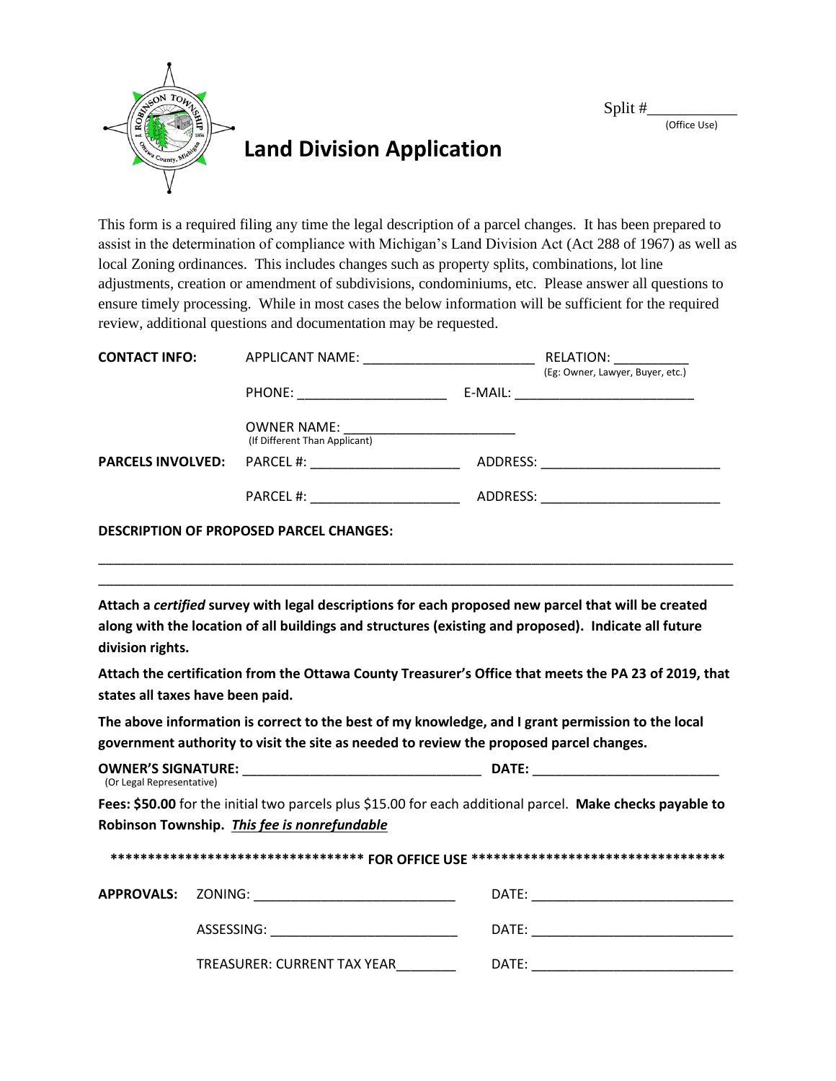Split #\_\_\_\_\_\_\_\_\_\_\_ (Office Use)



This form is a required filing any time the legal description of a parcel changes. It has been prepared to assist in the determination of compliance with Michigan's Land Division Act (Act 288 of 1967) as well as local Zoning ordinances. This includes changes such as property splits, combinations, lot line adjustments, creation or amendment of subdivisions, condominiums, etc. Please answer all questions to ensure timely processing. While in most cases the below information will be sufficient for the required review, additional questions and documentation may be requested.

| <b>CONTACT INFO:</b>     | APPLICANT NAME: _________________________      | RELATION:<br>(Eg: Owner, Lawyer, Buyer, etc.) |
|--------------------------|------------------------------------------------|-----------------------------------------------|
|                          |                                                | E-MAIL: _________________________________     |
|                          | (If Different Than Applicant)                  |                                               |
| <b>PARCELS INVOLVED:</b> |                                                |                                               |
|                          | PARCEL #: ____________________                 |                                               |
|                          | <b>DESCRIPTION OF PROPOSED PARCEL CHANGES:</b> |                                               |

**Attach a** *certified* **survey with legal descriptions for each proposed new parcel that will be created along with the location of all buildings and structures (existing and proposed). Indicate all future division rights.**

\_\_\_\_\_\_\_\_\_\_\_\_\_\_\_\_\_\_\_\_\_\_\_\_\_\_\_\_\_\_\_\_\_\_\_\_\_\_\_\_\_\_\_\_\_\_\_\_\_\_\_\_\_\_\_\_\_\_\_\_\_\_\_\_\_\_\_\_\_\_\_\_\_\_\_\_\_\_\_\_\_\_\_\_\_ \_\_\_\_\_\_\_\_\_\_\_\_\_\_\_\_\_\_\_\_\_\_\_\_\_\_\_\_\_\_\_\_\_\_\_\_\_\_\_\_\_\_\_\_\_\_\_\_\_\_\_\_\_\_\_\_\_\_\_\_\_\_\_\_\_\_\_\_\_\_\_\_\_\_\_\_\_\_\_\_\_\_\_\_\_

**Attach the certification from the Ottawa County Treasurer's Office that meets the PA 23 of 2019, that states all taxes have been paid.**

**The above information is correct to the best of my knowledge, and I grant permission to the local government authority to visit the site as needed to review the proposed parcel changes.**

| <b>OWNER'S SIGNATURE:</b>                                                                                 | DATE: |  |
|-----------------------------------------------------------------------------------------------------------|-------|--|
| (Or Legal Representative)                                                                                 |       |  |
| Fees: \$50.00 for the initial two parcels plus \$15.00 for each additional parcel. Make checks payable to |       |  |
| Robinson Township. This fee is nonrefundable                                                              |       |  |
|                                                                                                           |       |  |

| ********************************** FOR OFFICE USE ******************************* |                             |       |  |
|-----------------------------------------------------------------------------------|-----------------------------|-------|--|
| <b>APPROVALS: ZONING:</b>                                                         |                             | DATE: |  |
|                                                                                   | ASSESSING:                  | DATE: |  |
|                                                                                   | TREASURER: CURRENT TAX YEAR | DATE: |  |